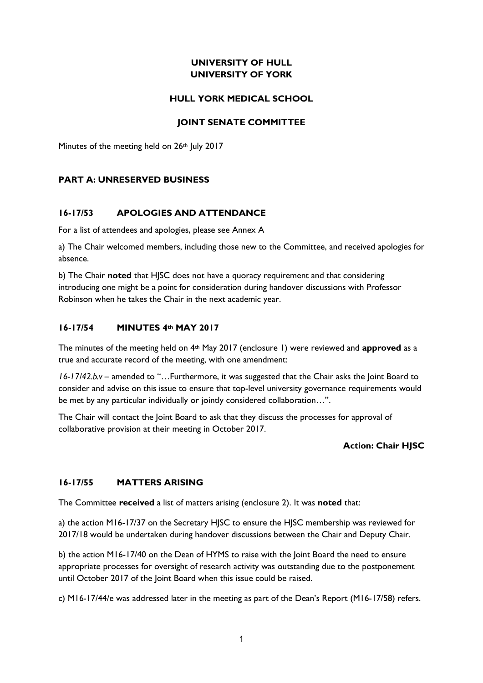## **UNIVERSITY OF HULL UNIVERSITY OF YORK**

### **HULL YORK MEDICAL SCHOOL**

### **JOINT SENATE COMMITTEE**

Minutes of the meeting held on 26th July 2017

### **PART A: UNRESERVED BUSINESS**

### **16-17/53 APOLOGIES AND ATTENDANCE**

For a list of attendees and apologies, please see Annex A

a) The Chair welcomed members, including those new to the Committee, and received apologies for absence.

b) The Chair **noted** that HJSC does not have a quoracy requirement and that considering introducing one might be a point for consideration during handover discussions with Professor Robinson when he takes the Chair in the next academic year.

### **16-17/54 MINUTES 4th MAY 2017**

The minutes of the meeting held on 4th May 2017 (enclosure 1) were reviewed and **approved** as a true and accurate record of the meeting, with one amendment:

*16-17/42.b.v* – amended to "…Furthermore, it was suggested that the Chair asks the Joint Board to consider and advise on this issue to ensure that top-level university governance requirements would be met by any particular individually or jointly considered collaboration...".

The Chair will contact the Joint Board to ask that they discuss the processes for approval of collaborative provision at their meeting in October 2017.

### **Action: Chair HJSC**

### **16-17/55 MATTERS ARISING**

The Committee **received** a list of matters arising (enclosure 2). It was **noted** that:

a) the action M16-17/37 on the Secretary HJSC to ensure the HJSC membership was reviewed for 2017/18 would be undertaken during handover discussions between the Chair and Deputy Chair.

b) the action M16-17/40 on the Dean of HYMS to raise with the Joint Board the need to ensure appropriate processes for oversight of research activity was outstanding due to the postponement until October 2017 of the Joint Board when this issue could be raised.

c) M16-17/44/e was addressed later in the meeting as part of the Dean's Report (M16-17/58) refers.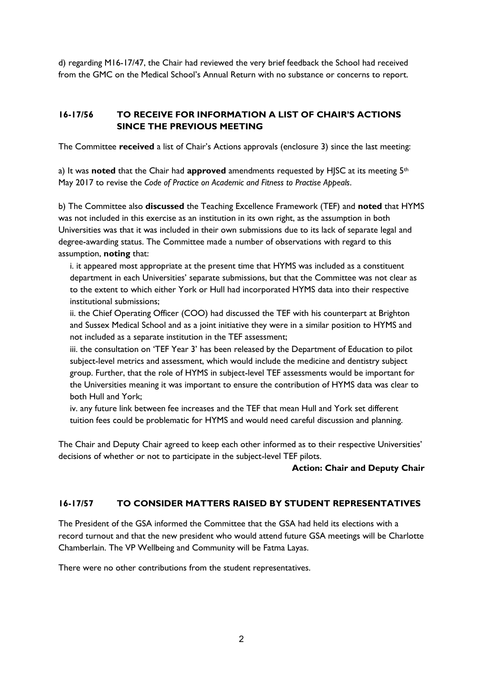d) regarding M16-17/47, the Chair had reviewed the very brief feedback the School had received from the GMC on the Medical School's Annual Return with no substance or concerns to report.

## **16-17/56 TO RECEIVE FOR INFORMATION A LIST OF CHAIR'S ACTIONS SINCE THE PREVIOUS MEETING**

The Committee **received** a list of Chair's Actions approvals (enclosure 3) since the last meeting:

a) It was **noted** that the Chair had **approved** amendments requested by HJSC at its meeting 5<sup>th</sup> May 2017 to revise the *Code of Practice on Academic and Fitness to Practise Appeals*.

b) The Committee also **discussed** the Teaching Excellence Framework (TEF) and **noted** that HYMS was not included in this exercise as an institution in its own right, as the assumption in both Universities was that it was included in their own submissions due to its lack of separate legal and degree-awarding status. The Committee made a number of observations with regard to this assumption, **noting** that:

i. it appeared most appropriate at the present time that HYMS was included as a constituent department in each Universities' separate submissions, but that the Committee was not clear as to the extent to which either York or Hull had incorporated HYMS data into their respective institutional submissions;

ii. the Chief Operating Officer (COO) had discussed the TEF with his counterpart at Brighton and Sussex Medical School and as a joint initiative they were in a similar position to HYMS and not included as a separate institution in the TEF assessment;

iii. the consultation on 'TEF Year 3' has been released by the Department of Education to pilot subject-level metrics and assessment, which would include the medicine and dentistry subject group. Further, that the role of HYMS in subject-level TEF assessments would be important for the Universities meaning it was important to ensure the contribution of HYMS data was clear to both Hull and York;

iv. any future link between fee increases and the TEF that mean Hull and York set different tuition fees could be problematic for HYMS and would need careful discussion and planning.

The Chair and Deputy Chair agreed to keep each other informed as to their respective Universities' decisions of whether or not to participate in the subject-level TEF pilots.

### **Action: Chair and Deputy Chair**

### **16-17/57 TO CONSIDER MATTERS RAISED BY STUDENT REPRESENTATIVES**

The President of the GSA informed the Committee that the GSA had held its elections with a record turnout and that the new president who would attend future GSA meetings will be Charlotte Chamberlain. The VP Wellbeing and Community will be Fatma Layas.

There were no other contributions from the student representatives.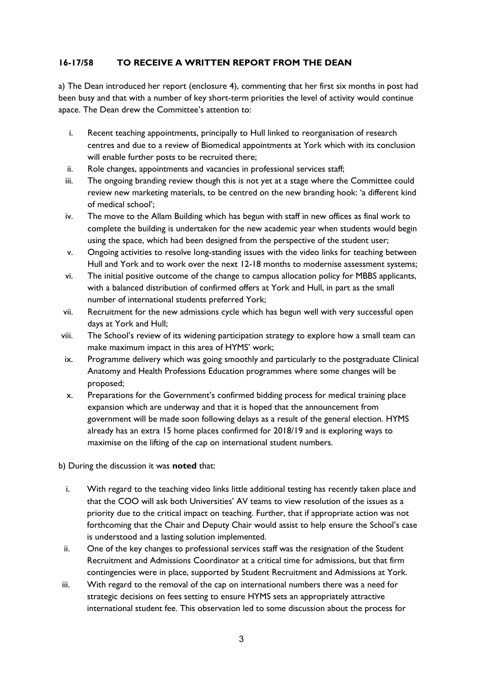### **16-17/58 TO RECEIVE A WRITTEN REPORT FROM THE DEAN**

a) The Dean introduced her report (enclosure 4), commenting that her first six months in post had been busy and that with a number of key short-term priorities the level of activity would continue apace. The Dean drew the Committee's attention to:

- i. Recent teaching appointments, principally to Hull linked to reorganisation of research centres and due to a review of Biomedical appointments at York which with its conclusion will enable further posts to be recruited there;
- ii. Role changes, appointments and vacancies in professional services staff;
- iii. The ongoing branding review though this is not yet at a stage where the Committee could review new marketing materials, to be centred on the new branding hook: 'a different kind of medical school';
- iv. The move to the Allam Building which has begun with staff in new offices as final work to complete the building is undertaken for the new academic year when students would begin using the space, which had been designed from the perspective of the student user;
- v. Ongoing activities to resolve long-standing issues with the video links for teaching between Hull and York and to work over the next 12-18 months to modernise assessment systems;
- vi. The initial positive outcome of the change to campus allocation policy for MBBS applicants, with a balanced distribution of confirmed offers at York and Hull, in part as the small number of international students preferred York;
- vii. Recruitment for the new admissions cycle which has begun well with very successful open days at York and Hull;
- viii. The School's review of its widening participation strategy to explore how a small team can make maximum impact in this area of HYMS' work;
- ix. Programme delivery which was going smoothly and particularly to the postgraduate Clinical Anatomy and Health Professions Education programmes where some changes will be proposed;
- x. Preparations for the Government's confirmed bidding process for medical training place expansion which are underway and that it is hoped that the announcement from government will be made soon following delays as a result of the general election. HYMS already has an extra 15 home places confirmed for 2018/19 and is exploring ways to maximise on the lifting of the cap on international student numbers.

b) During the discussion it was **noted** that:

- i. With regard to the teaching video links little additional testing has recently taken place and that the COO will ask both Universities' AV teams to view resolution of the issues as a priority due to the critical impact on teaching. Further, that if appropriate action was not forthcoming that the Chair and Deputy Chair would assist to help ensure the School's case is understood and a lasting solution implemented.
- ii. One of the key changes to professional services staff was the resignation of the Student Recruitment and Admissions Coordinator at a critical time for admissions, but that firm contingencies were in place, supported by Student Recruitment and Admissions at York.
- iii. With regard to the removal of the cap on international numbers there was a need for strategic decisions on fees setting to ensure HYMS sets an appropriately attractive international student fee. This observation led to some discussion about the process for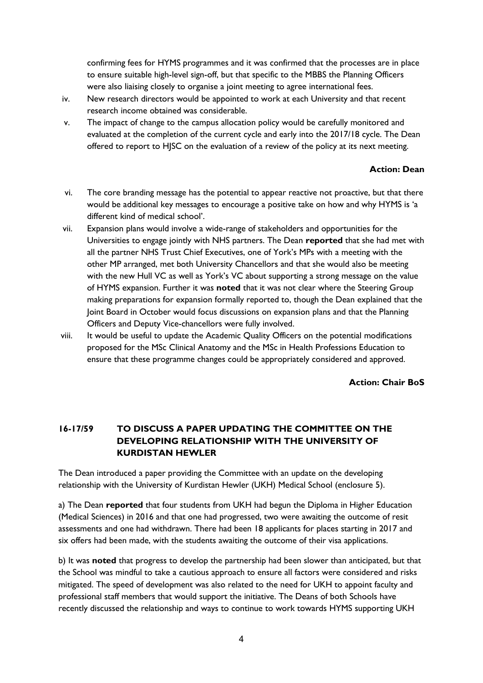confirming fees for HYMS programmes and it was confirmed that the processes are in place to ensure suitable high-level sign-off, but that specific to the MBBS the Planning Officers were also liaising closely to organise a joint meeting to agree international fees.

- iv. New research directors would be appointed to work at each University and that recent research income obtained was considerable.
- v. The impact of change to the campus allocation policy would be carefully monitored and evaluated at the completion of the current cycle and early into the 2017/18 cycle. The Dean offered to report to HJSC on the evaluation of a review of the policy at its next meeting.

### **Action: Dean**

- vi. The core branding message has the potential to appear reactive not proactive, but that there would be additional key messages to encourage a positive take on how and why HYMS is 'a different kind of medical school'.
- vii. Expansion plans would involve a wide-range of stakeholders and opportunities for the Universities to engage jointly with NHS partners. The Dean **reported** that she had met with all the partner NHS Trust Chief Executives, one of York's MPs with a meeting with the other MP arranged, met both University Chancellors and that she would also be meeting with the new Hull VC as well as York's VC about supporting a strong message on the value of HYMS expansion. Further it was **noted** that it was not clear where the Steering Group making preparations for expansion formally reported to, though the Dean explained that the Joint Board in October would focus discussions on expansion plans and that the Planning Officers and Deputy Vice-chancellors were fully involved.
- viii. It would be useful to update the Academic Quality Officers on the potential modifications proposed for the MSc Clinical Anatomy and the MSc in Health Professions Education to ensure that these programme changes could be appropriately considered and approved.

**Action: Chair BoS**

# **16-17/59 TO DISCUSS A PAPER UPDATING THE COMMITTEE ON THE DEVELOPING RELATIONSHIP WITH THE UNIVERSITY OF KURDISTAN HEWLER**

The Dean introduced a paper providing the Committee with an update on the developing relationship with the University of Kurdistan Hewler (UKH) Medical School (enclosure 5).

a) The Dean **reported** that four students from UKH had begun the Diploma in Higher Education (Medical Sciences) in 2016 and that one had progressed, two were awaiting the outcome of resit assessments and one had withdrawn. There had been 18 applicants for places starting in 2017 and six offers had been made, with the students awaiting the outcome of their visa applications.

b) It was **noted** that progress to develop the partnership had been slower than anticipated, but that the School was mindful to take a cautious approach to ensure all factors were considered and risks mitigated. The speed of development was also related to the need for UKH to appoint faculty and professional staff members that would support the initiative. The Deans of both Schools have recently discussed the relationship and ways to continue to work towards HYMS supporting UKH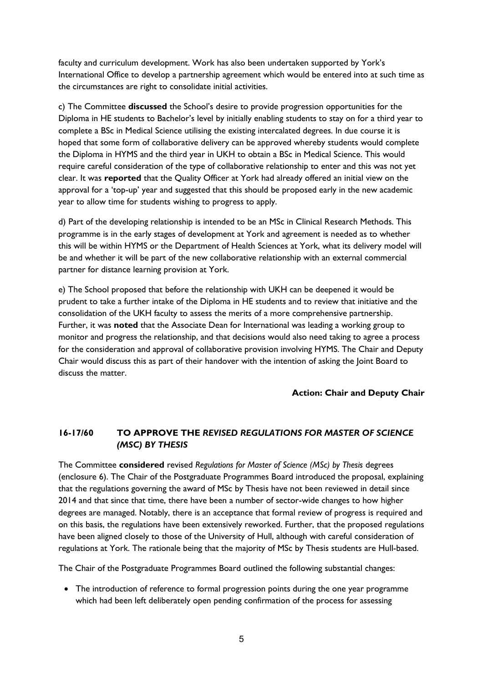faculty and curriculum development. Work has also been undertaken supported by York's International Office to develop a partnership agreement which would be entered into at such time as the circumstances are right to consolidate initial activities.

c) The Committee **discussed** the School's desire to provide progression opportunities for the Diploma in HE students to Bachelor's level by initially enabling students to stay on for a third year to complete a BSc in Medical Science utilising the existing intercalated degrees. In due course it is hoped that some form of collaborative delivery can be approved whereby students would complete the Diploma in HYMS and the third year in UKH to obtain a BSc in Medical Science. This would require careful consideration of the type of collaborative relationship to enter and this was not yet clear. It was **reported** that the Quality Officer at York had already offered an initial view on the approval for a 'top-up' year and suggested that this should be proposed early in the new academic year to allow time for students wishing to progress to apply.

d) Part of the developing relationship is intended to be an MSc in Clinical Research Methods. This programme is in the early stages of development at York and agreement is needed as to whether this will be within HYMS or the Department of Health Sciences at York, what its delivery model will be and whether it will be part of the new collaborative relationship with an external commercial partner for distance learning provision at York.

e) The School proposed that before the relationship with UKH can be deepened it would be prudent to take a further intake of the Diploma in HE students and to review that initiative and the consolidation of the UKH faculty to assess the merits of a more comprehensive partnership. Further, it was **noted** that the Associate Dean for International was leading a working group to monitor and progress the relationship, and that decisions would also need taking to agree a process for the consideration and approval of collaborative provision involving HYMS. The Chair and Deputy Chair would discuss this as part of their handover with the intention of asking the Joint Board to discuss the matter.

#### **Action: Chair and Deputy Chair**

## **16-17/60 TO APPROVE THE** *REVISED REGULATIONS FOR MASTER OF SCIENCE (MSC) BY THESIS*

The Committee **considered** revised *Regulations for Master of Science (MSc) by Thesis* degrees (enclosure 6). The Chair of the Postgraduate Programmes Board introduced the proposal, explaining that the regulations governing the award of MSc by Thesis have not been reviewed in detail since 2014 and that since that time, there have been a number of sector-wide changes to how higher degrees are managed. Notably, there is an acceptance that formal review of progress is required and on this basis, the regulations have been extensively reworked. Further, that the proposed regulations have been aligned closely to those of the University of Hull, although with careful consideration of regulations at York. The rationale being that the majority of MSc by Thesis students are Hull-based.

The Chair of the Postgraduate Programmes Board outlined the following substantial changes:

 The introduction of reference to formal progression points during the one year programme which had been left deliberately open pending confirmation of the process for assessing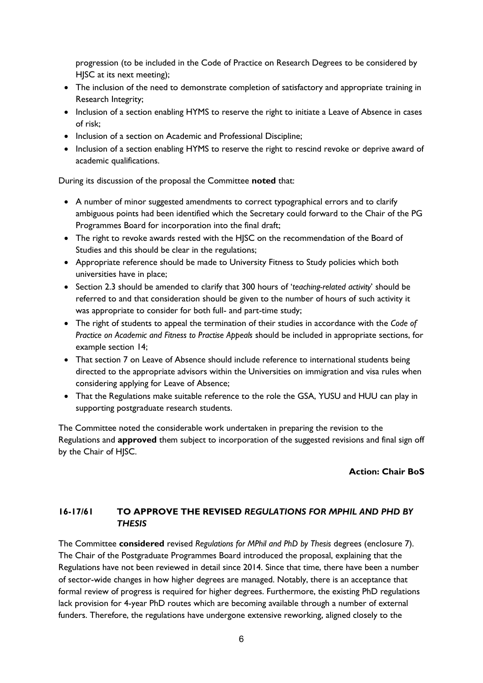progression (to be included in the Code of Practice on Research Degrees to be considered by HJSC at its next meeting);

- The inclusion of the need to demonstrate completion of satisfactory and appropriate training in Research Integrity;
- Inclusion of a section enabling HYMS to reserve the right to initiate a Leave of Absence in cases of risk;
- Inclusion of a section on Academic and Professional Discipline;
- Inclusion of a section enabling HYMS to reserve the right to rescind revoke or deprive award of academic qualifications.

During its discussion of the proposal the Committee **noted** that:

- A number of minor suggested amendments to correct typographical errors and to clarify ambiguous points had been identified which the Secretary could forward to the Chair of the PG Programmes Board for incorporation into the final draft;
- The right to revoke awards rested with the HJSC on the recommendation of the Board of Studies and this should be clear in the regulations;
- Appropriate reference should be made to University Fitness to Study policies which both universities have in place;
- Section 2.3 should be amended to clarify that 300 hours of '*teaching-related activity*' should be referred to and that consideration should be given to the number of hours of such activity it was appropriate to consider for both full- and part-time study;
- The right of students to appeal the termination of their studies in accordance with the *Code of Practice on Academic and Fitness to Practise Appeals* should be included in appropriate sections, for example section 14;
- That section 7 on Leave of Absence should include reference to international students being directed to the appropriate advisors within the Universities on immigration and visa rules when considering applying for Leave of Absence;
- That the Regulations make suitable reference to the role the GSA, YUSU and HUU can play in supporting postgraduate research students.

The Committee noted the considerable work undertaken in preparing the revision to the Regulations and **approved** them subject to incorporation of the suggested revisions and final sign off by the Chair of HJSC.

## **Action: Chair BoS**

# **16-17/61 TO APPROVE THE REVISED** *REGULATIONS FOR MPHIL AND PHD BY THESIS*

The Committee **considered** revised *Regulations for MPhil and PhD by Thesis* degrees (enclosure 7). The Chair of the Postgraduate Programmes Board introduced the proposal, explaining that the Regulations have not been reviewed in detail since 2014. Since that time, there have been a number of sector-wide changes in how higher degrees are managed. Notably, there is an acceptance that formal review of progress is required for higher degrees. Furthermore, the existing PhD regulations lack provision for 4-year PhD routes which are becoming available through a number of external funders. Therefore, the regulations have undergone extensive reworking, aligned closely to the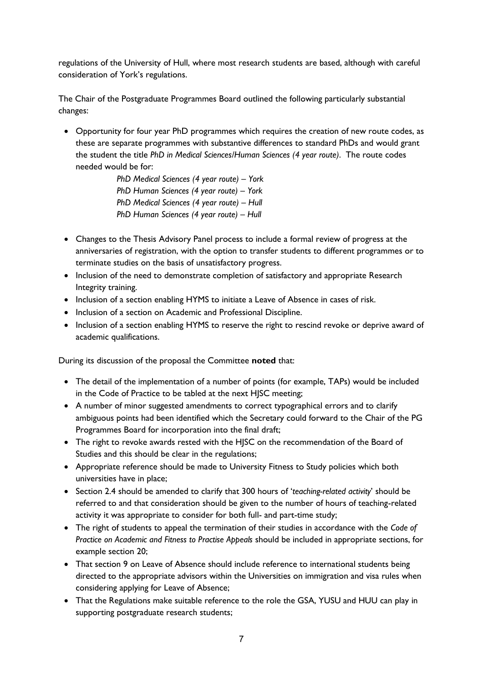regulations of the University of Hull, where most research students are based, although with careful consideration of York's regulations.

The Chair of the Postgraduate Programmes Board outlined the following particularly substantial changes:

 Opportunity for four year PhD programmes which requires the creation of new route codes, as these are separate programmes with substantive differences to standard PhDs and would grant the student the title *PhD in Medical Sciences/Human Sciences (4 year route)*. The route codes needed would be for:

> *PhD Medical Sciences (4 year route) – York PhD Human Sciences (4 year route) – York PhD Medical Sciences (4 year route) – Hull PhD Human Sciences (4 year route) – Hull*

- Changes to the Thesis Advisory Panel process to include a formal review of progress at the anniversaries of registration, with the option to transfer students to different programmes or to terminate studies on the basis of unsatisfactory progress.
- Inclusion of the need to demonstrate completion of satisfactory and appropriate Research Integrity training.
- Inclusion of a section enabling HYMS to initiate a Leave of Absence in cases of risk.
- Inclusion of a section on Academic and Professional Discipline.
- Inclusion of a section enabling HYMS to reserve the right to rescind revoke or deprive award of academic qualifications.

During its discussion of the proposal the Committee **noted** that:

- The detail of the implementation of a number of points (for example, TAPs) would be included in the Code of Practice to be tabled at the next HJSC meeting;
- A number of minor suggested amendments to correct typographical errors and to clarify ambiguous points had been identified which the Secretary could forward to the Chair of the PG Programmes Board for incorporation into the final draft;
- The right to revoke awards rested with the HJSC on the recommendation of the Board of Studies and this should be clear in the regulations;
- Appropriate reference should be made to University Fitness to Study policies which both universities have in place;
- Section 2.4 should be amended to clarify that 300 hours of '*teaching-related activity*' should be referred to and that consideration should be given to the number of hours of teaching-related activity it was appropriate to consider for both full- and part-time study;
- The right of students to appeal the termination of their studies in accordance with the *Code of Practice on Academic and Fitness to Practise Appeals* should be included in appropriate sections, for example section 20;
- That section 9 on Leave of Absence should include reference to international students being directed to the appropriate advisors within the Universities on immigration and visa rules when considering applying for Leave of Absence;
- That the Regulations make suitable reference to the role the GSA, YUSU and HUU can play in supporting postgraduate research students;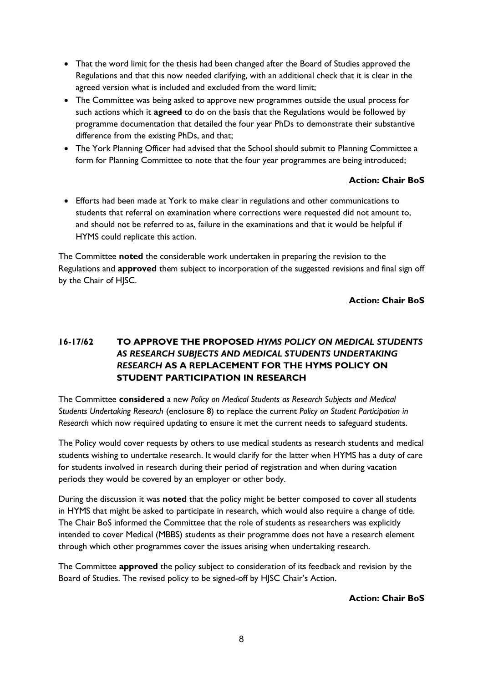- That the word limit for the thesis had been changed after the Board of Studies approved the Regulations and that this now needed clarifying, with an additional check that it is clear in the agreed version what is included and excluded from the word limit;
- The Committee was being asked to approve new programmes outside the usual process for such actions which it **agreed** to do on the basis that the Regulations would be followed by programme documentation that detailed the four year PhDs to demonstrate their substantive difference from the existing PhDs, and that;
- The York Planning Officer had advised that the School should submit to Planning Committee a form for Planning Committee to note that the four year programmes are being introduced;

## **Action: Chair BoS**

 Efforts had been made at York to make clear in regulations and other communications to students that referral on examination where corrections were requested did not amount to, and should not be referred to as, failure in the examinations and that it would be helpful if HYMS could replicate this action.

The Committee **noted** the considerable work undertaken in preparing the revision to the Regulations and **approved** them subject to incorporation of the suggested revisions and final sign off by the Chair of HJSC.

### **Action: Chair BoS**

## **16-17/62 TO APPROVE THE PROPOSED** *HYMS POLICY ON MEDICAL STUDENTS AS RESEARCH SUBJECTS AND MEDICAL STUDENTS UNDERTAKING RESEARCH* **AS A REPLACEMENT FOR THE HYMS POLICY ON STUDENT PARTICIPATION IN RESEARCH**

The Committee **considered** a new *Policy on Medical Students as Research Subjects and Medical Students Undertaking Research* (enclosure 8) to replace the current *Policy on Student Participation in Research* which now required updating to ensure it met the current needs to safeguard students.

The Policy would cover requests by others to use medical students as research students and medical students wishing to undertake research. It would clarify for the latter when HYMS has a duty of care for students involved in research during their period of registration and when during vacation periods they would be covered by an employer or other body.

During the discussion it was **noted** that the policy might be better composed to cover all students in HYMS that might be asked to participate in research, which would also require a change of title. The Chair BoS informed the Committee that the role of students as researchers was explicitly intended to cover Medical (MBBS) students as their programme does not have a research element through which other programmes cover the issues arising when undertaking research.

The Committee **approved** the policy subject to consideration of its feedback and revision by the Board of Studies. The revised policy to be signed-off by HJSC Chair's Action.

### **Action: Chair BoS**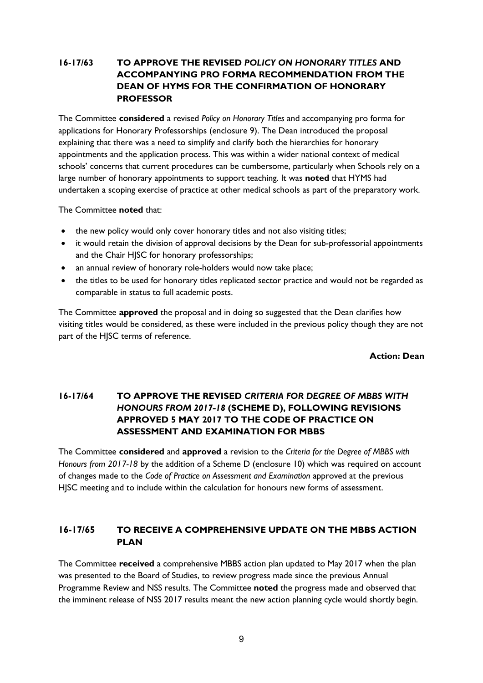## **16-17/63 TO APPROVE THE REVISED** *POLICY ON HONORARY TITLES* **AND ACCOMPANYING PRO FORMA RECOMMENDATION FROM THE DEAN OF HYMS FOR THE CONFIRMATION OF HONORARY PROFESSOR**

The Committee **considered** a revised *Policy on Honorary Titles* and accompanying pro forma for applications for Honorary Professorships (enclosure 9). The Dean introduced the proposal explaining that there was a need to simplify and clarify both the hierarchies for honorary appointments and the application process. This was within a wider national context of medical schools' concerns that current procedures can be cumbersome, particularly when Schools rely on a large number of honorary appointments to support teaching. It was **noted** that HYMS had undertaken a scoping exercise of practice at other medical schools as part of the preparatory work.

The Committee **noted** that:

- the new policy would only cover honorary titles and not also visiting titles;
- it would retain the division of approval decisions by the Dean for sub-professorial appointments and the Chair HJSC for honorary professorships;
- an annual review of honorary role-holders would now take place;
- the titles to be used for honorary titles replicated sector practice and would not be regarded as comparable in status to full academic posts.

The Committee **approved** the proposal and in doing so suggested that the Dean clarifies how visiting titles would be considered, as these were included in the previous policy though they are not part of the HJSC terms of reference.

#### **Action: Dean**

## **16-17/64 TO APPROVE THE REVISED** *CRITERIA FOR DEGREE OF MBBS WITH HONOURS FROM 2017-18* **(SCHEME D), FOLLOWING REVISIONS APPROVED 5 MAY 2017 TO THE CODE OF PRACTICE ON ASSESSMENT AND EXAMINATION FOR MBBS**

The Committee **considered** and **approved** a revision to the *Criteria for the Degree of MBBS with Honours from 2017-18* by the addition of a Scheme D (enclosure 10) which was required on account of changes made to the *Code of Practice on Assessment and Examination* approved at the previous HJSC meeting and to include within the calculation for honours new forms of assessment.

## **16-17/65 TO RECEIVE A COMPREHENSIVE UPDATE ON THE MBBS ACTION PLAN**

The Committee **received** a comprehensive MBBS action plan updated to May 2017 when the plan was presented to the Board of Studies, to review progress made since the previous Annual Programme Review and NSS results. The Committee **noted** the progress made and observed that the imminent release of NSS 2017 results meant the new action planning cycle would shortly begin.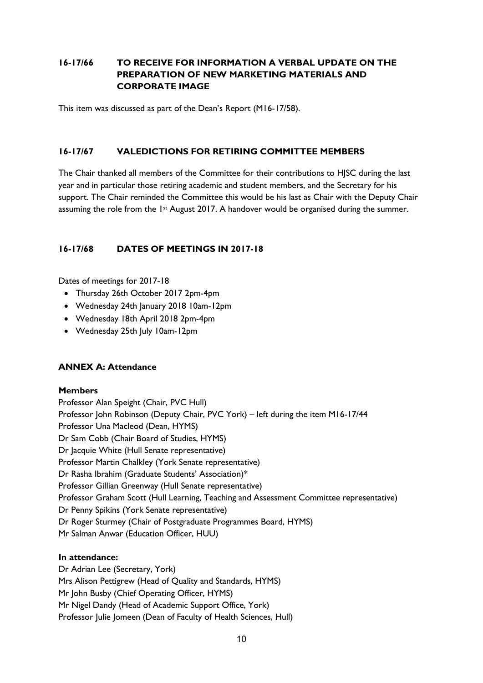## **16-17/66 TO RECEIVE FOR INFORMATION A VERBAL UPDATE ON THE PREPARATION OF NEW MARKETING MATERIALS AND CORPORATE IMAGE**

This item was discussed as part of the Dean's Report (M16-17/58).

### **16-17/67 VALEDICTIONS FOR RETIRING COMMITTEE MEMBERS**

The Chair thanked all members of the Committee for their contributions to HJSC during the last year and in particular those retiring academic and student members, and the Secretary for his support. The Chair reminded the Committee this would be his last as Chair with the Deputy Chair assuming the role from the 1<sup>st</sup> August 2017. A handover would be organised during the summer.

### **16-17/68 DATES OF MEETINGS IN 2017-18**

Dates of meetings for 2017-18

- Thursday 26th October 2017 2pm-4pm
- Wednesday 24th January 2018 10am-12pm
- Wednesday 18th April 2018 2pm-4pm
- Wednesday 25th July 10am-12pm

### **ANNEX A: Attendance**

### **Members**

Professor Alan Speight (Chair, PVC Hull) Professor John Robinson (Deputy Chair, PVC York) – left during the item M16-17/44 Professor Una Macleod (Dean, HYMS) Dr Sam Cobb (Chair Board of Studies, HYMS) Dr Jacquie White (Hull Senate representative) Professor Martin Chalkley (York Senate representative) Dr Rasha Ibrahim (Graduate Students' Association)\* Professor Gillian Greenway (Hull Senate representative) Professor Graham Scott (Hull Learning, Teaching and Assessment Committee representative) Dr Penny Spikins (York Senate representative) Dr Roger Sturmey (Chair of Postgraduate Programmes Board, HYMS) Mr Salman Anwar (Education Officer, HUU)

### **In attendance:**

Dr Adrian Lee (Secretary, York) Mrs Alison Pettigrew (Head of Quality and Standards, HYMS) Mr John Busby (Chief Operating Officer, HYMS) Mr Nigel Dandy (Head of Academic Support Office, York) Professor Julie Jomeen (Dean of Faculty of Health Sciences, Hull)